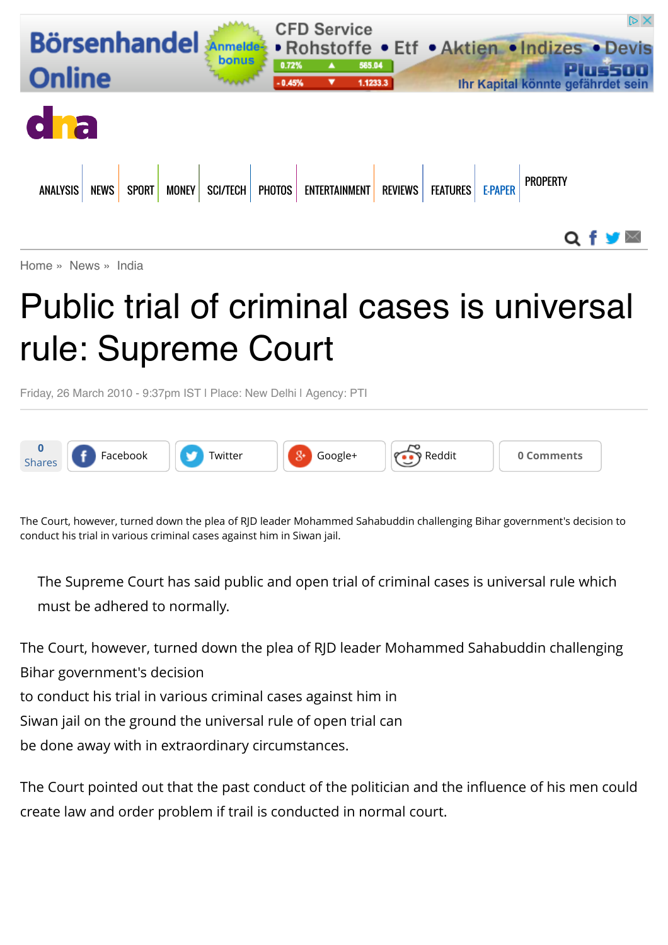

[Home](http://www.dnaindia.com/) » [News](http://www.dnaindia.com/news) » [India](http://www.dnaindia.com/india)

## Public trial of criminal cases is universal rule: Supreme Court

Friday, 26 March 2010 - 9:37pm IST | Place: New Delhi | Agency: PTI



The Court, however, turned down the plea of RJD leader Mohammed Sahabuddin challenging Bihar government's decision to conduct his trial in various criminal cases against him in Siwan jail.

The Supreme Court has said public and open trial of criminal cases is universal rule which must be adhered to normally.

The Court, however, turned down the plea of RJD leader Mohammed Sahabuddin challenging Bihar government's decision

to conduct his trial in various criminal cases against him in

Siwan jail on the ground the universal rule of open trial can

be done away with in extraordinary circumstances.

The Court pointed out that the past conduct of the politician and the influence of his men could create law and order problem if trail is conducted in normal court.